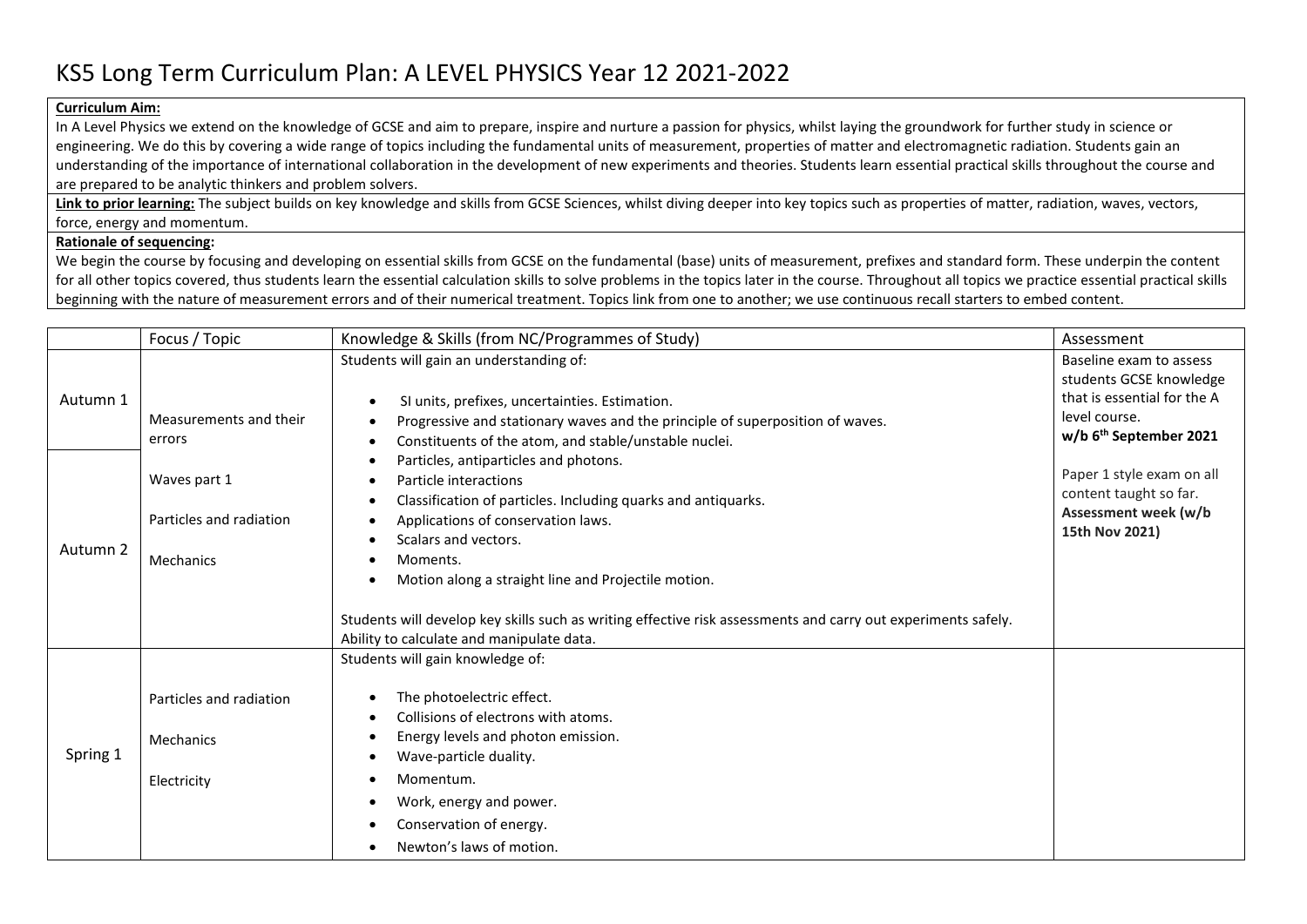## KS5 Long Term Curriculum Plan: A LEVEL PHYSICS Year 12 2021-2022

## **Curriculum Aim:**

In A Level Physics we extend on the knowledge of GCSE and aim to prepare, inspire and nurture a passion for physics, whilst laying the groundwork for further study in science or engineering. We do this by covering a wide range of topics including the fundamental units of measurement, properties of matter and electromagnetic radiation. Students gain an understanding of the importance of international collaboration in the development of new experiments and theories. Students learn essential practical skills throughout the course and are prepared to be analytic thinkers and problem solvers.

**Link to prior learning:** The subject builds on key knowledge and skills from GCSE Sciences, whilst diving deeper into key topics such as properties of matter, radiation, waves, vectors, force, energy and momentum.

## **Rationale of sequencing:**

We begin the course by focusing and developing on essential skills from GCSE on the fundamental (base) units of measurement, prefixes and standard form. These underpin the content for all other topics covered, thus students learn the essential calculation skills to solve problems in the topics later in the course. Throughout all topics we practice essential practical skills beginning with the nature of measurement errors and of their numerical treatment. Topics link from one to another; we use continuous recall starters to embed content.

| Baseline exam to assess                                |
|--------------------------------------------------------|
| students GCSE knowledge<br>that is essential for the A |
| level course.<br>w/b 6 <sup>th</sup> September 2021    |
|                                                        |
| Paper 1 style exam on all<br>content taught so far.    |
| Assessment week (w/b<br>15th Nov 2021)                 |
|                                                        |
|                                                        |
|                                                        |
|                                                        |
|                                                        |
|                                                        |
|                                                        |
|                                                        |
|                                                        |